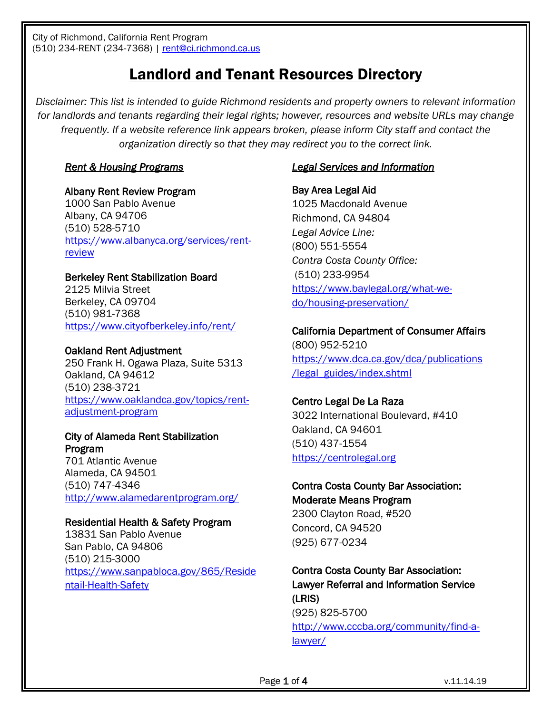City of Richmond, California Rent Program (510) 234-RENT (234-7368) | [rent@ci.richmond.ca.us](mailto:rent@ci.richmond.ca.us)

# Landlord and Tenant Resources Directory

*Disclaimer: This list is intended to guide Richmond residents and property owners to relevant information for landlords and tenants regarding their legal rights; however, resources and website URLs may change frequently. If a website reference link appears broken, please inform City staff and contact the organization directly so that they may redirect you to the correct link.*

### *Rent & Housing Programs*

#### Albany Rent Review Program

1000 San Pablo Avenue Albany, CA 94706 (510) 528-5710 [https://www.albanyca.org/services/rent](https://www.albanyca.org/services/rent-review)**[review](https://www.albanyca.org/services/rent-review)** 

#### Berkeley Rent Stabilization Board

2125 Milvia Street Berkeley, CA 09704 (510) 981-7368 <https://www.cityofberkeley.info/rent/>

#### Oakland Rent Adjustment

250 Frank H. Ogawa Plaza, Suite 5313 Oakland, CA 94612 (510) 238-3721 [https://www.oaklandca.gov/topics/rent](https://www.oaklandca.gov/topics/rent-adjustment-program)[adjustment-program](https://www.oaklandca.gov/topics/rent-adjustment-program)

#### City of Alameda Rent Stabilization Program

701 Atlantic Avenue Alameda, CA 94501 (510) 747-4346 <http://www.alamedarentprogram.org/>

#### Residential Health & Safety Program

13831 San Pablo Avenue San Pablo, CA 94806 (510) 215-3000 [https://www.sanpabloca.gov/865/Reside](https://www.sanpabloca.gov/865/Residentail-Health-Safety) [ntail-Health-Safety](https://www.sanpabloca.gov/865/Residentail-Health-Safety)

#### *Legal Services and Information*

Bay Area Legal Aid 1025 Macdonald Avenue Richmond, CA 94804 *Legal Advice Line:*  (800) 551-5554 *Contra Costa County Office:*  (510) 233-9954 [https://www.baylegal.org/what-we](https://www.baylegal.org/what-we-do/housing-preservation/)[do/housing-preservation/](https://www.baylegal.org/what-we-do/housing-preservation/)

# California Department of Consumer Affairs (800) 952-5210 [https://www.dca.ca.gov/dca/publications](https://www.dca.ca.gov/dca/publications/legal_guides/index.shtml)

[/legal\\_guides/index.shtml](https://www.dca.ca.gov/dca/publications/legal_guides/index.shtml)

#### Centro Legal De La Raza

3022 International Boulevard, #410 Oakland, CA 94601 (510) 437-1554 [https://centrolegal.org](https://centrolegal.org/)

# Contra Costa County Bar Association: Moderate Means Program 2300 Clayton Road, #520

Concord, CA 94520 (925) 677-0234

# Contra Costa County Bar Association: Lawyer Referral and Information Service (LRIS) (925) 825-5700

[http://www.cccba.org/community/find-a](http://www.cccba.org/community/find-a-lawyer/)[lawyer/](http://www.cccba.org/community/find-a-lawyer/)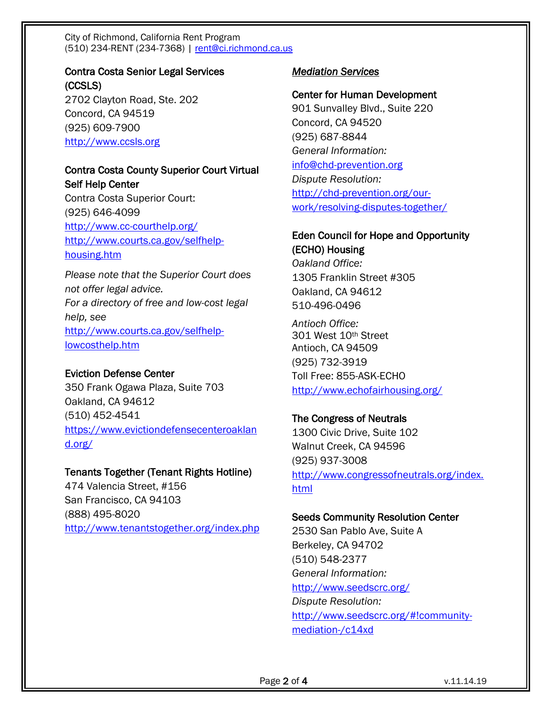City of Richmond, California Rent Program (510) 234-RENT (234-7368) | [rent@ci.richmond.ca.us](mailto:rent@ci.richmond.ca.us)

Contra Costa Senior Legal Services (CCSLS) 2702 Clayton Road, Ste. 202 Concord, CA 94519 (925) 609-7900 [http://www.ccsls.org](http://www.ccsls.org/)

# Contra Costa County Superior Court Virtual Self Help Center

Contra Costa Superior Court: (925) 646-4099 <http://www.cc-courthelp.org/> [http://www.courts.ca.gov/selfhelp](http://www.courts.ca.gov/selfhelp-housing.htm)[housing.htm](http://www.courts.ca.gov/selfhelp-housing.htm)

*Please note that the Superior Court does not offer legal advice. For a directory of free and low-cost legal help, see* [http://www.courts.ca.gov/selfhelp](http://www.courts.ca.gov/selfhelp-lowcosthelp.htm)[lowcosthelp.htm](http://www.courts.ca.gov/selfhelp-lowcosthelp.htm)

#### Eviction Defense Center

350 Frank Ogawa Plaza, Suite 703 Oakland, CA 94612 (510) 452-4541 [https://www.evictiondefensecenteroaklan](https://www.evictiondefensecenteroakland.org/) [d.org/](https://www.evictiondefensecenteroakland.org/)

#### Tenants Together (Tenant Rights Hotline)

474 Valencia Street, #156 San Francisco, CA 94103 (888) 495-8020 <http://www.tenantstogether.org/index.php>

#### *Mediation Services*

#### Center for Human Development

901 Sunvalley Blvd., Suite 220 Concord, CA 94520 (925) 687-8844 *General Information:*  [info@chd-prevention.org](mailto:info@chd-prevention.org) *Dispute Resolution:* [http://chd-prevention.org/our](http://chd-prevention.org/our-work/resolving-disputes-together/)[work/resolving-disputes-together/](http://chd-prevention.org/our-work/resolving-disputes-together/)

#### Eden Council for Hope and Opportunity

(ECHO) Housing *Oakland Office:* 1305 Franklin Street #305 Oakland, CA 94612 510-496-0496

*Antioch Office:*  301 West 10th Street Antioch, CA 94509 (925) 732-3919 Toll Free: 855-ASK-ECHO <http://www.echofairhousing.org/>

#### The Congress of Neutrals

1300 Civic Drive, Suite 102 Walnut Creek, CA 94596 (925) 937-3008 [http://www.congressofneutrals.org/index.](http://www.congressofneutrals.org/index.html) [html](http://www.congressofneutrals.org/index.html)

#### Seeds Community Resolution Center

2530 San Pablo Ave, Suite A Berkeley, CA 94702 (510) 548-2377 *General Information:* <http://www.seedscrc.org/> *Dispute Resolution:* [http://www.seedscrc.org/#!community](http://www.seedscrc.org/#!community-mediation-/c14xd)[mediation-/c14xd](http://www.seedscrc.org/#!community-mediation-/c14xd)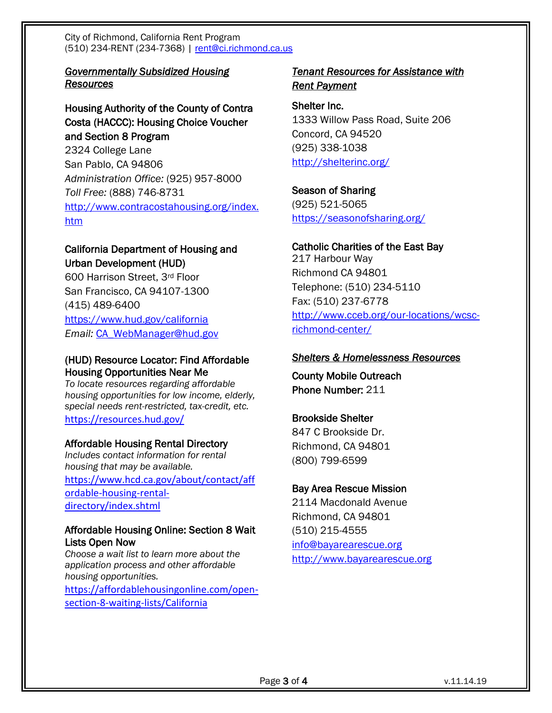City of Richmond, California Rent Program (510) 234-RENT (234-7368) | [rent@ci.richmond.ca.us](mailto:rent@ci.richmond.ca.us)

# *Governmentally Subsidized Housing Resources*

# Housing Authority of the County of Contra Costa (HACCC): Housing Choice Voucher and Section 8 Program

2324 College Lane San Pablo, CA 94806 *Administration Office:* (925) 957-8000 *Toll Free:* (888) 746-8731 [http://www.contracostahousing.org/index.](http://www.contracostahousing.org/index.htm) [htm](http://www.contracostahousing.org/index.htm)

# California Department of Housing and Urban Development (HUD)

600 Harrison Street, 3rd Floor San Francisco, CA 94107-1300 (415) 489-6400 <https://www.hud.gov/california> *Email:* [CA\\_WebManager@hud.gov](mailto:CA_WebManager@hud.gov)

# (HUD) Resource Locator: Find Affordable Housing Opportunities Near Me

*To locate resources regarding affordable housing opportunities for low income, elderly, special needs rent-restricted, tax-credit, etc.* <https://resources.hud.gov/>

# Affordable Housing Rental Directory

*Includes contact information for rental housing that may be available.*  [https://www.hcd.ca.gov/about/contact/aff](https://www.hcd.ca.gov/about/contact/affordable-housing-rental-directory/index.shtml) [ordable-housing-rental](https://www.hcd.ca.gov/about/contact/affordable-housing-rental-directory/index.shtml)[directory/index.shtml](https://www.hcd.ca.gov/about/contact/affordable-housing-rental-directory/index.shtml)

#### Affordable Housing Online: Section 8 Wait Lists Open Now

*Choose a wait list to learn more about the application process and other affordable housing opportunities.*  [https://affordablehousingonline.com/open](https://affordablehousingonline.com/open-section-8-waiting-lists/California)[section-8-waiting-lists/California](https://affordablehousingonline.com/open-section-8-waiting-lists/California)

#### *Tenant Resources for Assistance with Rent Payment*

Shelter Inc. 1333 Willow Pass Road, Suite 206 Concord, CA 94520 (925) 338-1038 <http://shelterinc.org/>

Season of Sharing (925) 521-5065 <https://seasonofsharing.org/>

#### Catholic Charities of the East Bay

217 Harbour Way Richmond CA 94801 Telephone: (510) 234-5110 Fax: (510) 237-6778 [http://www.cceb.org/our-locations/wcsc](http://www.cceb.org/our-locations/wcsc-richmond-center/)[richmond-center/](http://www.cceb.org/our-locations/wcsc-richmond-center/)

#### *Shelters & Homelessness Resources*

County Mobile Outreach Phone Number: 211

# Brookside Shelter

847 C Brookside Dr. Richmond, CA 94801 (800) 799-6599

# Bay Area Rescue Mission

2114 Macdonald Avenue Richmond, CA 94801 (510) 215-4555 [info@bayarearescue.org](mailto:info@bayarearescue.org) [http://www.bayarearescue.org](http://www.bayarearescue.org/)